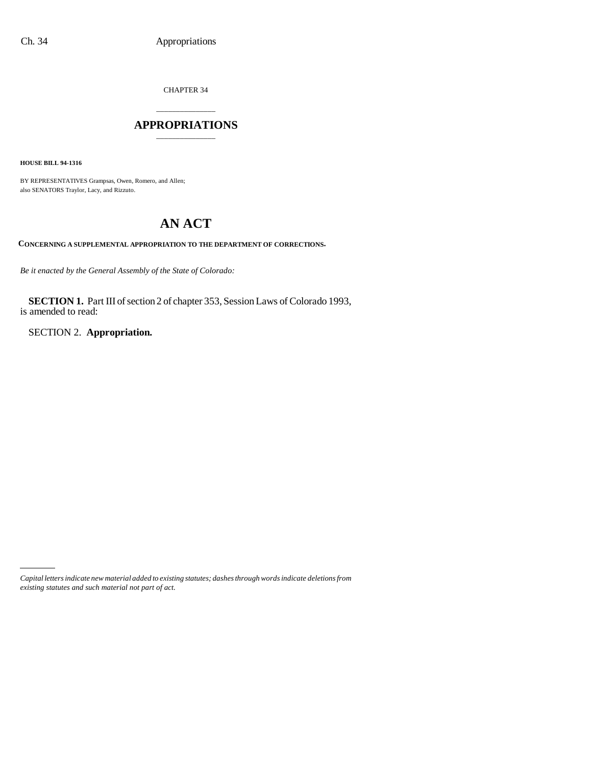CHAPTER 34

## \_\_\_\_\_\_\_\_\_\_\_\_\_\_\_ **APPROPRIATIONS** \_\_\_\_\_\_\_\_\_\_\_\_\_\_\_

**HOUSE BILL 94-1316**

BY REPRESENTATIVES Grampsas, Owen, Romero, and Allen; also SENATORS Traylor, Lacy, and Rizzuto.

# **AN ACT**

**CONCERNING A SUPPLEMENTAL APPROPRIATION TO THE DEPARTMENT OF CORRECTIONS.**

*Be it enacted by the General Assembly of the State of Colorado:*

**SECTION 1.** Part III of section 2 of chapter 353, Session Laws of Colorado 1993, is amended to read:

SECTION 2. **Appropriation.**

*Capital letters indicate new material added to existing statutes; dashes through words indicate deletions from existing statutes and such material not part of act.*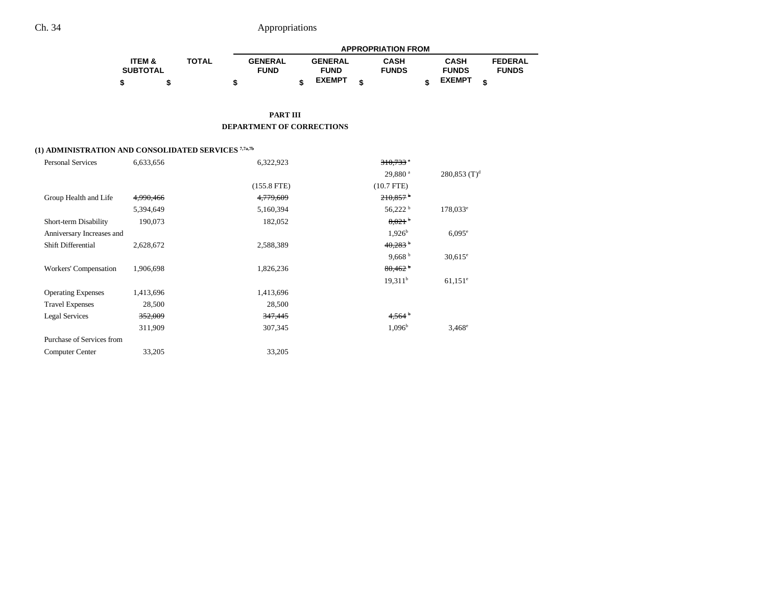|                   |              |                |                | <b>APPROPRIATION FROM</b> |               |                |
|-------------------|--------------|----------------|----------------|---------------------------|---------------|----------------|
| <b>ITEM &amp;</b> | <b>TOTAL</b> | <b>GENERAL</b> | <b>GENERAL</b> | <b>CASH</b>               | <b>CASH</b>   | <b>FEDERAL</b> |
| <b>SUBTOTAL</b>   |              | <b>FUND</b>    | <b>FUND</b>    | <b>FUNDS</b>              | <b>FUNDS</b>  | <b>FUNDS</b>   |
|                   |              |                | <b>EXEMPT</b>  |                           | <b>EXEMPT</b> |                |

#### **PART III DEPARTMENT OF CORRECTIONS**

### **(1) ADMINISTRATION AND CONSOLIDATED SERVICES 7,7a,7b**

| <b>Personal Services</b>  | 6,633,656 | 6,322,923          | $310,733$ <sup>*</sup> |                            |
|---------------------------|-----------|--------------------|------------------------|----------------------------|
|                           |           |                    | 29,880 <sup>a</sup>    | $280,853$ (T) <sup>d</sup> |
|                           |           | $(155.8$ FTE)      | $(10.7$ FTE)           |                            |
| Group Health and Life     | 4,990,466 | 4,779,609          | $210.857$ <sup>b</sup> |                            |
|                           | 5,394,649 | 5,160,394          | $56,222$ <sup>b</sup>  | $178,033^e$                |
| Short-term Disability     | 190,073   | 182,052            | 8.021 <sup>b</sup>     |                            |
| Anniversary Increases and |           |                    | $1,926^b$              | $6.095^{\circ}$            |
| <b>Shift Differential</b> | 2,628,672 | 2,588,389          | $40,283$ <sup>b</sup>  |                            |
|                           |           |                    | 9,668 $b$              | $30,615^{\circ}$           |
| Workers' Compensation     | 1,906,698 | 1,826,236          | 80,462                 |                            |
|                           |           |                    | 19.311 <sup>b</sup>    | $61,151$ <sup>e</sup>      |
| <b>Operating Expenses</b> | 1,413,696 | 1,413,696          |                        |                            |
| <b>Travel Expenses</b>    | 28,500    | 28,500             |                        |                            |
| <b>Legal Services</b>     | 352,009   | <del>347,445</del> | 4,564                  |                            |
|                           | 311,909   | 307,345            | $1,096^{\rm b}$        | $3,468^{\circ}$            |
| Purchase of Services from |           |                    |                        |                            |
| <b>Computer Center</b>    | 33,205    | 33,205             |                        |                            |
|                           |           |                    |                        |                            |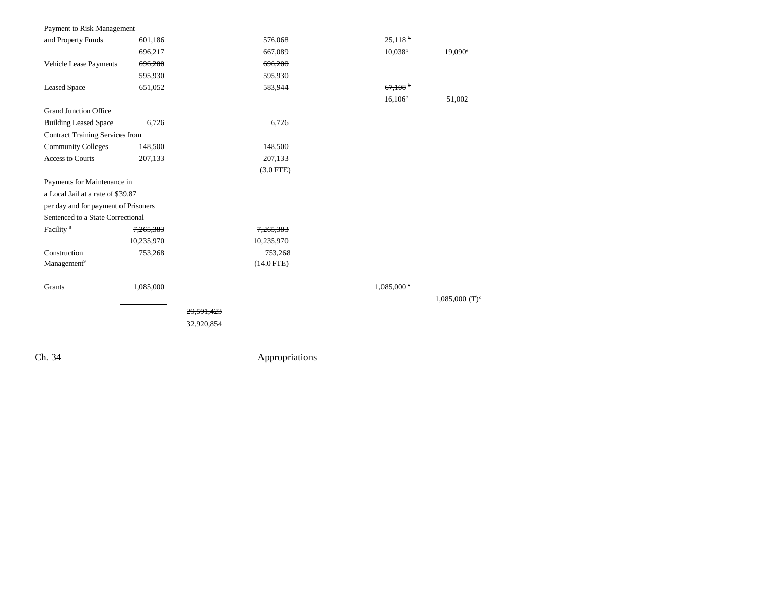| Payment to Risk Management             |                      |            |                      |                       |                              |
|----------------------------------------|----------------------|------------|----------------------|-----------------------|------------------------------|
| and Property Funds                     | 601,186              |            | 576,068              | 25.118                |                              |
|                                        | 696,217              |            | 667,089              | $10,038^b$            | $19,090^{\circ}$             |
| Vehicle Lease Payments                 | 696,200              |            | 696,200              |                       |                              |
|                                        | 595,930              |            | 595,930              |                       |                              |
| <b>Leased Space</b>                    | 651,052              |            | 583,944              | $67,108$ <sup>b</sup> |                              |
|                                        |                      |            |                      | $16,106^b$            | 51,002                       |
| <b>Grand Junction Office</b>           |                      |            |                      |                       |                              |
| <b>Building Leased Space</b>           | 6,726                |            | 6,726                |                       |                              |
| <b>Contract Training Services from</b> |                      |            |                      |                       |                              |
| <b>Community Colleges</b>              | 148,500              |            | 148,500              |                       |                              |
| <b>Access to Courts</b>                | 207,133              |            | 207,133              |                       |                              |
|                                        |                      |            | $(3.0$ FTE)          |                       |                              |
| Payments for Maintenance in            |                      |            |                      |                       |                              |
| a Local Jail at a rate of \$39.87      |                      |            |                      |                       |                              |
| per day and for payment of Prisoners   |                      |            |                      |                       |                              |
| Sentenced to a State Correctional      |                      |            |                      |                       |                              |
| Facility <sup>8</sup>                  | <del>7,265,383</del> |            | <del>7,265,383</del> |                       |                              |
|                                        | 10,235,970           |            | 10,235,970           |                       |                              |
| Construction                           | 753,268              |            | 753,268              |                       |                              |
| Management <sup>9</sup>                |                      |            | $(14.0$ FTE)         |                       |                              |
|                                        |                      |            |                      |                       |                              |
| Grants                                 | 1,085,000            |            |                      | 1.085,000             |                              |
|                                        |                      |            |                      |                       | $1,085,000$ (T) <sup>c</sup> |
|                                        |                      | 29.591.423 |                      |                       |                              |
|                                        |                      | 32,920,854 |                      |                       |                              |
|                                        |                      |            |                      |                       |                              |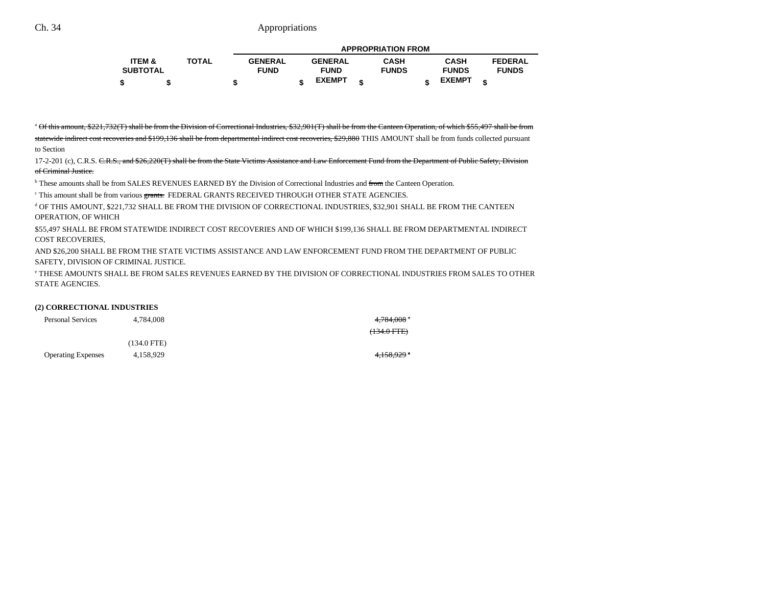|                   |              |                |                | <b>APPROPRIATION FROM</b> |               |                |
|-------------------|--------------|----------------|----------------|---------------------------|---------------|----------------|
| <b>ITEM &amp;</b> | <b>TOTAL</b> | <b>GENERAL</b> | <b>GENERAL</b> | <b>CASH</b>               | CASH          | <b>FEDERAL</b> |
| <b>SUBTOTAL</b>   |              | <b>FUND</b>    | <b>FUND</b>    | <b>FUNDS</b>              | <b>FUNDS</b>  | <b>FUNDS</b>   |
|                   |              |                | <b>EXEMPT</b>  |                           | <b>EXEMPT</b> |                |

<sup>a</sup> Of this amount, \$221,732(T) shall be from the Division of Correctional Industries, \$32,901(T) shall be from the Canteen Operation, of which \$55,497 shall be from

statewide indirect cost recoveries and \$199,136 shall be from departmental indirect cost recoveries, \$29,880 THIS AMOUNT shall be from funds collected pursuant to Section

17-2-201 (c), C.R.S. C.R.S., and \$26,220(T) shall be from the State Victims Assistance and Law Enforcement Fund from the Department of Public Safety, Division of Criminal Justice.

<sup>b</sup> These amounts shall be from SALES REVENUES EARNED BY the Division of Correctional Industries and from the Canteen Operation.

 $\degree$  This amount shall be from various grants. FEDERAL GRANTS RECEIVED THROUGH OTHER STATE AGENCIES.

d OF THIS AMOUNT, \$221,732 SHALL BE FROM THE DIVISION OF CORRECTIONAL INDUSTRIES, \$32,901 SHALL BE FROM THE CANTEEN OPERATION, OF WHICH

\$55,497 SHALL BE FROM STATEWIDE INDIRECT COST RECOVERIES AND OF WHICH \$199,136 SHALL BE FROM DEPARTMENTAL INDIRECT COST RECOVERIES,

AND \$26,200 SHALL BE FROM THE STATE VICTIMS ASSISTANCE AND LAW ENFORCEMENT FUND FROM THE DEPARTMENT OF PUBLIC SAFETY, DIVISION OF CRIMINAL JUSTICE.

e THESE AMOUNTS SHALL BE FROM SALES REVENUES EARNED BY THE DIVISION OF CORRECTIONAL INDUSTRIES FROM SALES TO OTHERSTATE AGENCIES.

#### **(2) CORRECTIONAL INDUSTRIES**

| <b>Personal Services</b>  | 4.784.008     | 4 <del>,784,008</del> * |
|---------------------------|---------------|-------------------------|
|                           |               | $(134.0$ FTE)           |
|                           | $(134.0$ FTE) |                         |
| <b>Operating Expenses</b> | 4.158.929     | 4.150000<br>7,1,00,727  |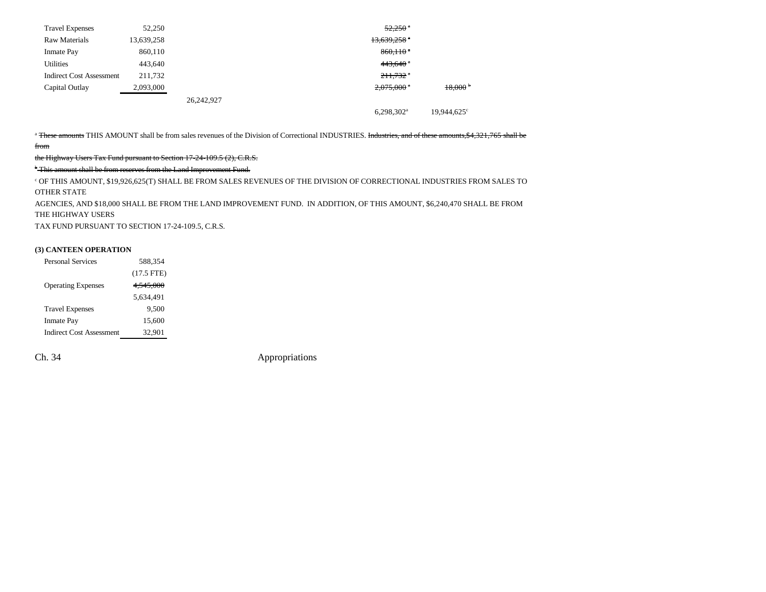| <b>Travel Expenses</b>          | 52,250     |            |                           | $52.250$ $^{\circ}$ |
|---------------------------------|------------|------------|---------------------------|---------------------|
| Raw Materials                   | 13,639,258 |            | $13,639,258$ <sup>a</sup> |                     |
| <b>Inmate Pay</b>               | 860,110    |            | $860,110$ $*$             |                     |
| <b>Utilities</b>                | 443,640    |            | $443,640$ $*$             |                     |
| <b>Indirect Cost Assessment</b> | 211,732    |            | $211,732$ <sup>a</sup>    |                     |
| Capital Outlay                  | 2,093,000  |            | $2,075,000$ $^{\circ}$    | $18,000$ b          |
|                                 |            | 26,242,927 |                           |                     |
|                                 |            |            | $6,298,302$ <sup>a</sup>  | 19.944.625°         |

<sup>a</sup> These amounts THIS AMOUNT shall be from sales revenues of the Division of Correctional INDUSTRIES. Industries, and of these amounts,\$4,321,765 shall be from

the Highway Users Tax Fund pursuant to Section 17-24-109.5 (2), C.R.S.

<sup>b</sup> This amount shall be from reserves from the Land Improvement Fund.

c OF THIS AMOUNT, \$19,926,625(T) SHALL BE FROM SALES REVENUES OF THE DIVISION OF CORRECTIONAL INDUSTRIES FROM SALES TO OTHER STATE

AGENCIES, AND \$18,000 SHALL BE FROM THE LAND IMPROVEMENT FUND. IN ADDITION, OF THIS AMOUNT, \$6,240,470 SHALL BE FROM THE HIGHWAY USERS

TAX FUND PURSUANT TO SECTION 17-24-109.5, C.R.S.

#### **(3) CANTEEN OPERATION**

| $(17.5$ FTE)<br><b>Operating Expenses</b><br>4.545.000<br>5,634,491<br><b>Travel Expenses</b><br>9.500<br>15,600<br><b>Inmate Pay</b><br><b>Indirect Cost Assessment</b><br>32,901 | <b>Personal Services</b> | 588.354 |
|------------------------------------------------------------------------------------------------------------------------------------------------------------------------------------|--------------------------|---------|
|                                                                                                                                                                                    |                          |         |
|                                                                                                                                                                                    |                          |         |
|                                                                                                                                                                                    |                          |         |
|                                                                                                                                                                                    |                          |         |
|                                                                                                                                                                                    |                          |         |
|                                                                                                                                                                                    |                          |         |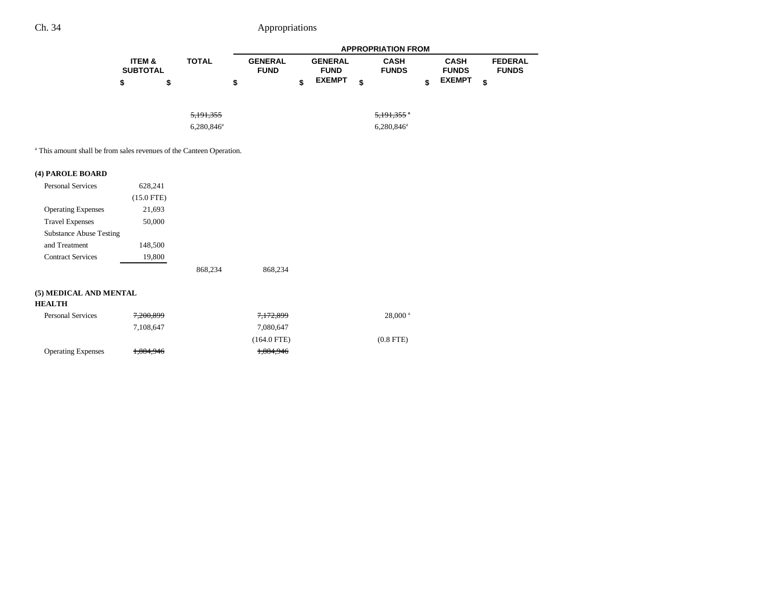|                                      |              |                               | <b>APPROPRIATION FROM</b> |                               |    |                             |  |                             |                                |  |
|--------------------------------------|--------------|-------------------------------|---------------------------|-------------------------------|----|-----------------------------|--|-----------------------------|--------------------------------|--|
| <b>ITEM &amp;</b><br><b>SUBTOTAL</b> | <b>TOTAL</b> | <b>GENERAL</b><br><b>FUND</b> |                           | <b>GENERAL</b><br><b>FUND</b> |    | <b>CASH</b><br><b>FUNDS</b> |  | <b>CASH</b><br><b>FUNDS</b> | <b>FEDERAL</b><br><b>FUNDS</b> |  |
| \$                                   |              | S                             |                           | <b>EXEMPT</b>                 | \$ |                             |  | <b>EXEMPT</b>               | \$                             |  |

| <del>5,191,355</del> | <del>5,191,355</del> * |
|----------------------|------------------------|
| $6,280,846^{\circ}$  | $6,280,846^{\circ}$    |

a This amount shall be from sales revenues of the Canteen Operation.

### **(4) PAROLE BOARD**

| <b>Personal Services</b>       | 628,241      |         |         |
|--------------------------------|--------------|---------|---------|
|                                | $(15.0$ FTE) |         |         |
| <b>Operating Expenses</b>      | 21,693       |         |         |
| <b>Travel Expenses</b>         | 50,000       |         |         |
| <b>Substance Abuse Testing</b> |              |         |         |
| and Treatment                  | 148,500      |         |         |
| <b>Contract Services</b>       | 19,800       |         |         |
|                                |              | 868,234 | 868,234 |

### **(5) MEDICAL AND MENTAL**

#### **HEALTH**

| <b>Personal Services</b>  | 7.200.899            | 7,172,899     | $28,000^{\text{ a}}$ |
|---------------------------|----------------------|---------------|----------------------|
|                           | 7.108.647            | 7.080.647     |                      |
|                           |                      | $(164.0$ FTE) | $(0.8$ FTE)          |
| <b>Operating Expenses</b> | <del>1,884,946</del> | 1,884,946     |                      |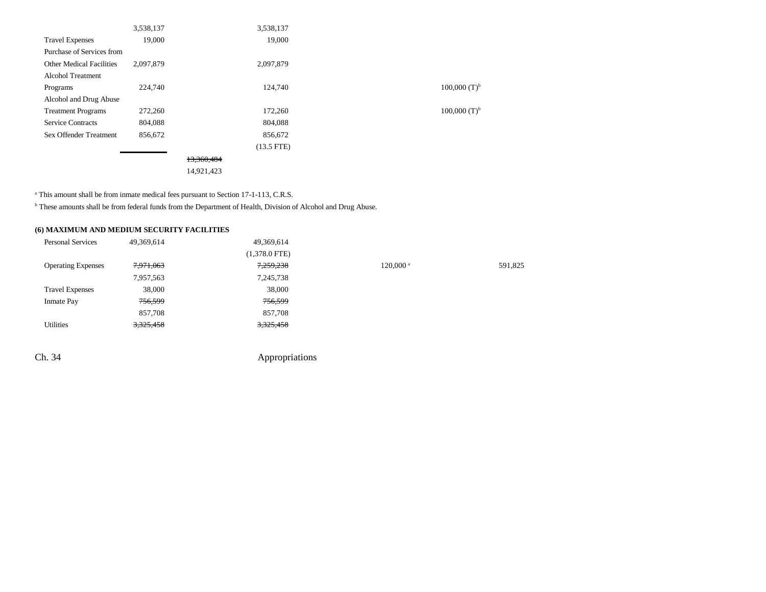|                                 | 3,538,137 |            | 3,538,137    |                     |
|---------------------------------|-----------|------------|--------------|---------------------|
| <b>Travel Expenses</b>          | 19,000    |            | 19,000       |                     |
| Purchase of Services from       |           |            |              |                     |
| <b>Other Medical Facilities</b> | 2,097,879 |            | 2,097,879    |                     |
| <b>Alcohol Treatment</b>        |           |            |              |                     |
| Programs                        | 224,740   |            | 124,740      | $100,000$ $(T)^{b}$ |
| Alcohol and Drug Abuse          |           |            |              |                     |
| <b>Treatment Programs</b>       | 272,260   |            | 172,260      | $100,000$ $(T)b$    |
| <b>Service Contracts</b>        | 804,088   |            | 804,088      |                     |
| <b>Sex Offender Treatment</b>   | 856,672   |            | 856,672      |                     |
|                                 |           |            | $(13.5$ FTE) |                     |
|                                 |           | 13,360,484 |              |                     |
|                                 |           | 14,921,423 |              |                     |
|                                 |           |            |              |                     |

<sup>a</sup> This amount shall be from inmate medical fees pursuant to Section 17-1-113, C.R.S.

b These amounts shall be from federal funds from the Department of Health, Division of Alcohol and Drug Abuse.

### **(6) MAXIMUM AND MEDIUM SECURITY FACILITIES**

| <b>Personal Services</b>  | 49,369,614 | 49,369,614      |                        |         |
|---------------------------|------------|-----------------|------------------------|---------|
|                           |            | $(1,378.0$ FTE) |                        |         |
| <b>Operating Expenses</b> | 7,971,063  | 7,259,238       | $120,000$ <sup>a</sup> | 591,825 |
|                           | 7,957,563  | 7,245,738       |                        |         |
| <b>Travel Expenses</b>    | 38,000     | 38,000          |                        |         |
| <b>Inmate Pay</b>         | 756,599    | 756,599         |                        |         |
|                           | 857,708    | 857,708         |                        |         |
| Utilities                 | 3,325,458  | 3,325,458       |                        |         |
|                           |            |                 |                        |         |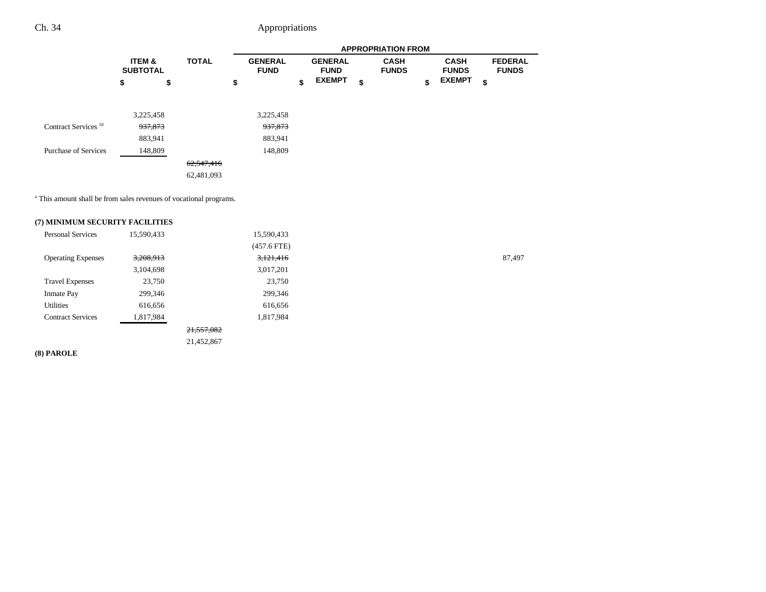|                                 |                                      |              |                               |                               | <b>APPROPRIATION FROM</b>   |                             |                                |
|---------------------------------|--------------------------------------|--------------|-------------------------------|-------------------------------|-----------------------------|-----------------------------|--------------------------------|
|                                 | <b>ITEM &amp;</b><br><b>SUBTOTAL</b> | <b>TOTAL</b> | <b>GENERAL</b><br><b>FUND</b> | <b>GENERAL</b><br><b>FUND</b> | <b>CASH</b><br><b>FUNDS</b> | <b>CASH</b><br><b>FUNDS</b> | <b>FEDERAL</b><br><b>FUNDS</b> |
|                                 | \$                                   | \$           | \$                            | \$<br><b>EXEMPT</b>           | \$                          | \$<br><b>EXEMPT</b>         | \$                             |
|                                 | 3,225,458                            |              | 3,225,458                     |                               |                             |                             |                                |
| Contract Services <sup>10</sup> | 937,873                              |              | <del>937,873</del>            |                               |                             |                             |                                |
|                                 | 883,941                              |              | 883,941                       |                               |                             |                             |                                |
| <b>Purchase of Services</b>     | 148,809                              |              | 148,809                       |                               |                             |                             |                                |
|                                 |                                      | 62,547,416   |                               |                               |                             |                             |                                |
|                                 |                                      | 62,481,093   |                               |                               |                             |                             |                                |

a This amount shall be from sales revenues of vocational programs.

### **(7) MINIMUM SECURITY FACILITIES**

| <b>Personal Services</b>  | 15,590,433 |            | 15,590,433    |        |
|---------------------------|------------|------------|---------------|--------|
|                           |            |            | $(457.6$ FTE) |        |
| <b>Operating Expenses</b> | 3,208,913  |            | 3,121,416     | 87,497 |
|                           | 3,104,698  |            | 3,017,201     |        |
| <b>Travel Expenses</b>    | 23,750     |            | 23,750        |        |
| <b>Inmate Pay</b>         | 299,346    |            | 299,346       |        |
| Utilities                 | 616,656    |            | 616,656       |        |
| <b>Contract Services</b>  | 1,817,984  |            | 1,817,984     |        |
|                           |            | 21,557,082 |               |        |
|                           |            | 21,452,867 |               |        |

**(8) PAROLE**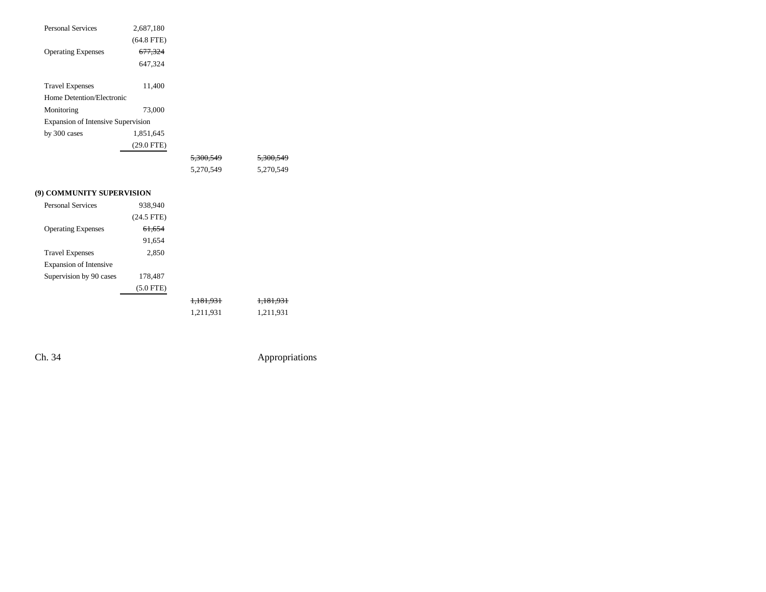| <b>Personal Services</b>                  | 2,687,180    |                      |                      |
|-------------------------------------------|--------------|----------------------|----------------------|
|                                           | $(64.8$ FTE) |                      |                      |
| <b>Operating Expenses</b>                 | 677,324      |                      |                      |
|                                           | 647,324      |                      |                      |
|                                           |              |                      |                      |
| <b>Travel Expenses</b>                    | 11,400       |                      |                      |
| Home Detention/Electronic                 |              |                      |                      |
| Monitoring                                | 73,000       |                      |                      |
| <b>Expansion of Intensive Supervision</b> |              |                      |                      |
| by 300 cases                              | 1,851,645    |                      |                      |
|                                           | $(29.0$ FTE) |                      |                      |
|                                           |              | <del>5,300,549</del> | 5,300,549            |
|                                           |              | 5,270,549            | 5,270,549            |
| (9) COMMUNITY SUPERVISION                 |              |                      |                      |
| <b>Personal Services</b>                  |              |                      |                      |
|                                           | 938,940      |                      |                      |
|                                           | $(24.5$ FTE) |                      |                      |
| <b>Operating Expenses</b>                 | 61,654       |                      |                      |
|                                           | 91,654       |                      |                      |
| <b>Travel Expenses</b>                    | 2,850        |                      |                      |
| <b>Expansion of Intensive</b>             |              |                      |                      |
| Supervision by 90 cases                   | 178,487      |                      |                      |
|                                           | $(5.0$ FTE)  |                      |                      |
|                                           |              | <del>1,181,931</del> | <del>1,181,931</del> |
|                                           |              | 1,211,931            | 1,211,931            |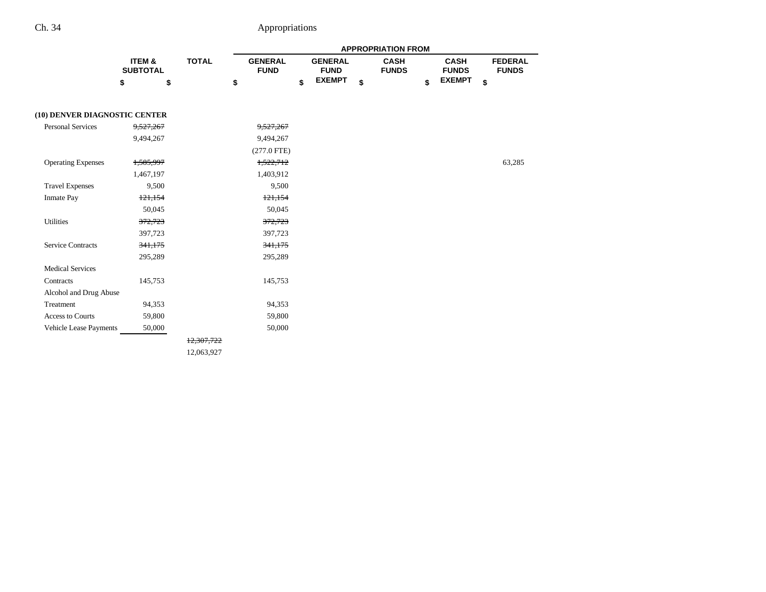|                               |                           |              | <b>APPROPRIATION FROM</b> |                               |    |                               |    |                             |    |                             |    |                                |
|-------------------------------|---------------------------|--------------|---------------------------|-------------------------------|----|-------------------------------|----|-----------------------------|----|-----------------------------|----|--------------------------------|
|                               | ITEM &<br><b>SUBTOTAL</b> | <b>TOTAL</b> |                           | <b>GENERAL</b><br><b>FUND</b> |    | <b>GENERAL</b><br><b>FUND</b> |    | <b>CASH</b><br><b>FUNDS</b> |    | <b>CASH</b><br><b>FUNDS</b> |    | <b>FEDERAL</b><br><b>FUNDS</b> |
|                               | \$<br>\$                  |              | \$                        |                               | \$ | <b>EXEMPT</b>                 | \$ |                             | \$ | <b>EXEMPT</b>               | \$ |                                |
| (10) DENVER DIAGNOSTIC CENTER |                           |              |                           |                               |    |                               |    |                             |    |                             |    |                                |
| <b>Personal Services</b>      | 9,527,267                 |              |                           | 9,527,267                     |    |                               |    |                             |    |                             |    |                                |
|                               | 9,494,267                 |              |                           | 9,494,267                     |    |                               |    |                             |    |                             |    |                                |
|                               |                           |              |                           | $(277.0$ FTE)                 |    |                               |    |                             |    |                             |    |                                |
| <b>Operating Expenses</b>     | 1,585,997                 |              |                           | 1,522,712                     |    |                               |    |                             |    |                             |    | 63,285                         |
|                               | 1,467,197                 |              |                           | 1,403,912                     |    |                               |    |                             |    |                             |    |                                |
| <b>Travel Expenses</b>        | 9,500                     |              |                           | 9,500                         |    |                               |    |                             |    |                             |    |                                |
| <b>Inmate Pay</b>             | 121,154                   |              |                           | 121,154                       |    |                               |    |                             |    |                             |    |                                |
|                               | 50,045                    |              |                           | 50,045                        |    |                               |    |                             |    |                             |    |                                |
| Utilities                     | 372,723                   |              |                           | 372,723                       |    |                               |    |                             |    |                             |    |                                |
|                               | 397,723                   |              |                           | 397,723                       |    |                               |    |                             |    |                             |    |                                |
| <b>Service Contracts</b>      | 341,175                   |              |                           | 341,175                       |    |                               |    |                             |    |                             |    |                                |
|                               | 295,289                   |              |                           | 295,289                       |    |                               |    |                             |    |                             |    |                                |
| <b>Medical Services</b>       |                           |              |                           |                               |    |                               |    |                             |    |                             |    |                                |
| Contracts                     | 145,753                   |              |                           | 145,753                       |    |                               |    |                             |    |                             |    |                                |
| Alcohol and Drug Abuse        |                           |              |                           |                               |    |                               |    |                             |    |                             |    |                                |
| Treatment                     | 94,353                    |              |                           | 94,353                        |    |                               |    |                             |    |                             |    |                                |
| <b>Access to Courts</b>       | 59,800                    |              |                           | 59,800                        |    |                               |    |                             |    |                             |    |                                |
| Vehicle Lease Payments        | 50,000                    |              |                           | 50,000                        |    |                               |    |                             |    |                             |    |                                |
|                               |                           | 12,307,722   |                           |                               |    |                               |    |                             |    |                             |    |                                |

12,063,927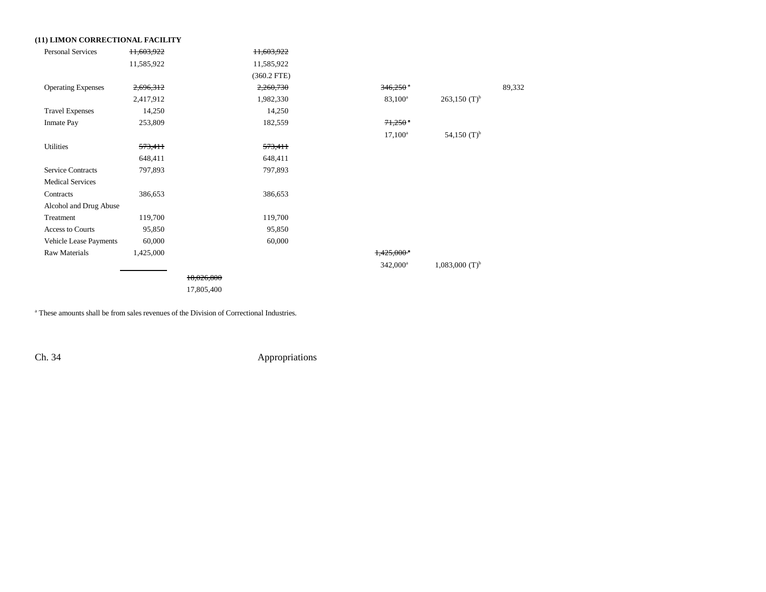| (11) LIMON CORRECTIONAL FACILITY |            |            |               |                          |                              |        |
|----------------------------------|------------|------------|---------------|--------------------------|------------------------------|--------|
| <b>Personal Services</b>         | 11,603,922 |            | 11,603,922    |                          |                              |        |
|                                  | 11,585,922 |            | 11,585,922    |                          |                              |        |
|                                  |            |            | $(360.2$ FTE) |                          |                              |        |
| <b>Operating Expenses</b>        | 2,696,312  |            | 2,260,730     | $346,250$ <sup>a</sup>   |                              | 89,332 |
|                                  | 2,417,912  |            | 1,982,330     | $83,100^a$               | $263,150$ (T) <sup>b</sup>   |        |
| <b>Travel Expenses</b>           | 14,250     |            | 14,250        |                          |                              |        |
| <b>Inmate Pay</b>                | 253,809    |            | 182,559       | $71,250$ $^{\circ}$      |                              |        |
|                                  |            |            |               | $17,100^a$               | 54,150 $(T)^b$               |        |
| Utilities                        | 573,411    |            | 573,411       |                          |                              |        |
|                                  | 648,411    |            | 648,411       |                          |                              |        |
| <b>Service Contracts</b>         | 797,893    |            | 797,893       |                          |                              |        |
| <b>Medical Services</b>          |            |            |               |                          |                              |        |
| Contracts                        | 386,653    |            | 386,653       |                          |                              |        |
| Alcohol and Drug Abuse           |            |            |               |                          |                              |        |
| Treatment                        | 119,700    |            | 119,700       |                          |                              |        |
| Access to Courts                 | 95,850     |            | 95,850        |                          |                              |        |
| Vehicle Lease Payments           | 60,000     |            | 60,000        |                          |                              |        |
| <b>Raw Materials</b>             | 1,425,000  |            |               | $1,425,000$ <sup>*</sup> |                              |        |
|                                  |            |            |               | $342,000^a$              | $1,083,000$ (T) <sup>b</sup> |        |
|                                  |            | 18,026,800 |               |                          |                              |        |
|                                  |            | 17,805,400 |               |                          |                              |        |
|                                  |            |            |               |                          |                              |        |

a These amounts shall be from sales revenues of the Division of Correctional Industries.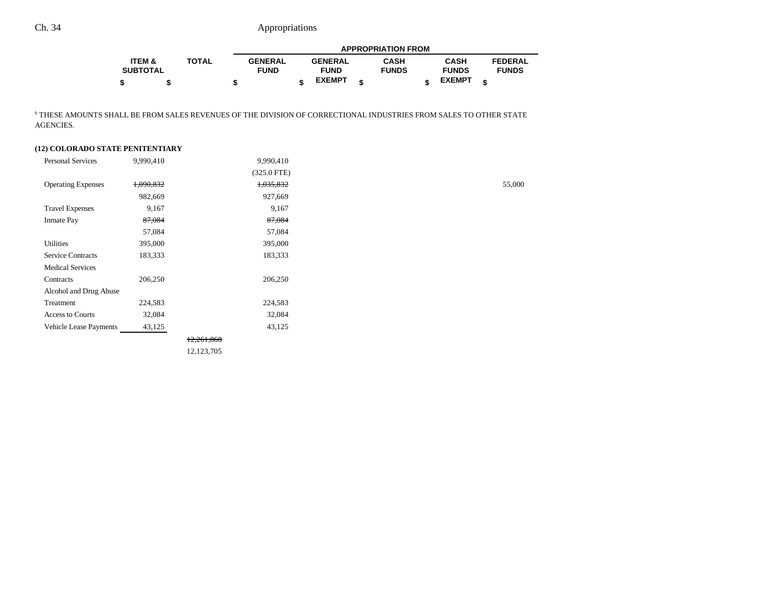|                   |              | <b>APPROPRIATION FROM</b> |  |                |  |              |  |               |                |
|-------------------|--------------|---------------------------|--|----------------|--|--------------|--|---------------|----------------|
| <b>ITEM &amp;</b> | <b>TOTAL</b> | <b>GENERAL</b>            |  | <b>GENERAL</b> |  | <b>CASH</b>  |  | <b>CASH</b>   | <b>FEDERAL</b> |
| <b>SUBTOTAL</b>   |              | <b>FUND</b>               |  | <b>FUND</b>    |  | <b>FUNDS</b> |  | <b>FUNDS</b>  | <b>FUNDS</b>   |
| \$                |              |                           |  | <b>EXEMPT</b>  |  |              |  | <b>EXEMPT</b> |                |

b THESE AMOUNTS SHALL BE FROM SALES REVENUES OF THE DIVISION OF CORRECTIONAL INDUSTRIES FROM SALES TO OTHER STATE AGENCIES.

### **(12) COLORADO STATE PENITENTIARY**

| <b>Personal Services</b>      | 9,990,410 |            | 9,990,410     |  |
|-------------------------------|-----------|------------|---------------|--|
|                               |           |            | $(325.0$ FTE) |  |
| <b>Operating Expenses</b>     | 1,090,832 |            | 1,035,832     |  |
|                               | 982,669   |            | 927,669       |  |
| <b>Travel Expenses</b>        | 9,167     |            | 9,167         |  |
| <b>Inmate Pay</b>             | 87,084    |            | 87,084        |  |
|                               | 57,084    |            | 57,084        |  |
| Utilities                     | 395,000   |            | 395,000       |  |
| <b>Service Contracts</b>      | 183,333   |            | 183,333       |  |
| <b>Medical Services</b>       |           |            |               |  |
| Contracts                     | 206,250   |            | 206,250       |  |
| Alcohol and Drug Abuse        |           |            |               |  |
| Treatment                     | 224,583   |            | 224,583       |  |
| Access to Courts              | 32,084    |            | 32,084        |  |
| <b>Vehicle Lease Payments</b> | 43,125    |            | 43,125        |  |
|                               |           | 12,261,868 |               |  |
|                               |           | 12,123,705 |               |  |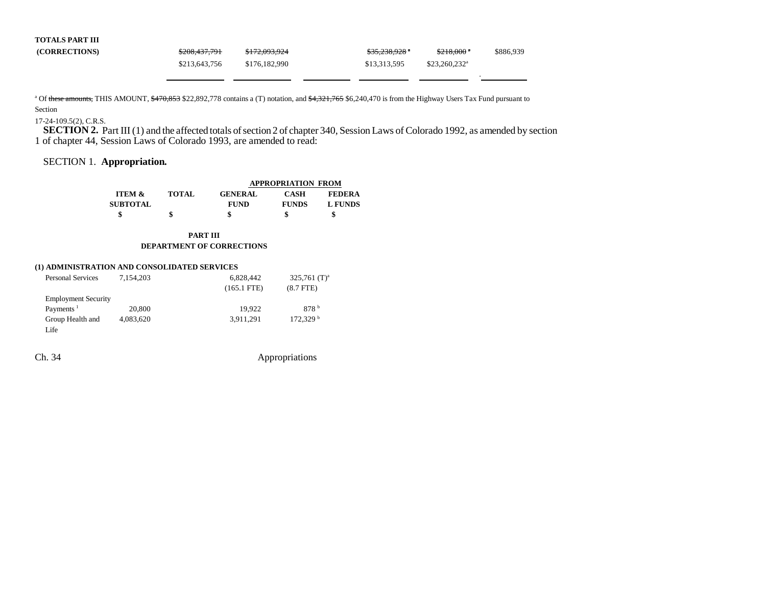| <b>TOTALS PART III</b> |               |               |                                                          |
|------------------------|---------------|---------------|----------------------------------------------------------|
| (CORRECTIONS)          | \$208,437,791 | \$172,093,924 | <del>\$35,238,928</del> *<br>$$218,000$ $"$<br>\$886.939 |
|                        | \$213,643,756 | \$176,182,990 | $$23.260.232$ <sup>a</sup><br>\$13,313,595               |

<sup>a</sup> Of these amounts, THIS AMOUNT, \$470,853 \$22,892,778 contains a (T) notation, and \$4,321,765 \$6,240,470 is from the Highway Users Tax Fund pursuant to Section

#### 17-24-109.5(2), C.R.S.

**SECTION 2.** Part III (1) and the affected totals of section 2 of chapter 340, Session Laws of Colorado 1992, as amended by section 1 of chapter 44, Session Laws of Colorado 1993, are amended to read:

## SECTION 1. **Appropriation.**

|                   |              |                | <b>APPROPRIATION FROM</b> |               |
|-------------------|--------------|----------------|---------------------------|---------------|
| <b>ITEM &amp;</b> | <b>TOTAL</b> | <b>GENERAL</b> | CASH                      | <b>FEDERA</b> |
| <b>SUBTOTAL</b>   |              | <b>FUND</b>    | <b>FUNDS</b>              | L FUNDS       |
|                   |              |                |                           |               |

**PART III DEPARTMENT OF CORRECTIONS**

#### **(1) ADMINISTRATION AND CONSOLIDATED SERVICES**

| <b>Personal Services</b>   | 7.154.203 | 6,828,442     | $325,761$ (T) <sup>a</sup> |
|----------------------------|-----------|---------------|----------------------------|
|                            |           | $(165.1$ FTE) | $(8.7$ FTE $)$             |
| <b>Employment Security</b> |           |               |                            |
| Payments <sup>1</sup>      | 20,800    | 19.922        | 878 <sup>b</sup>           |
| Group Health and           | 4,083,620 | 3.911.291     | 172.329 <sup>b</sup>       |
| Life                       |           |               |                            |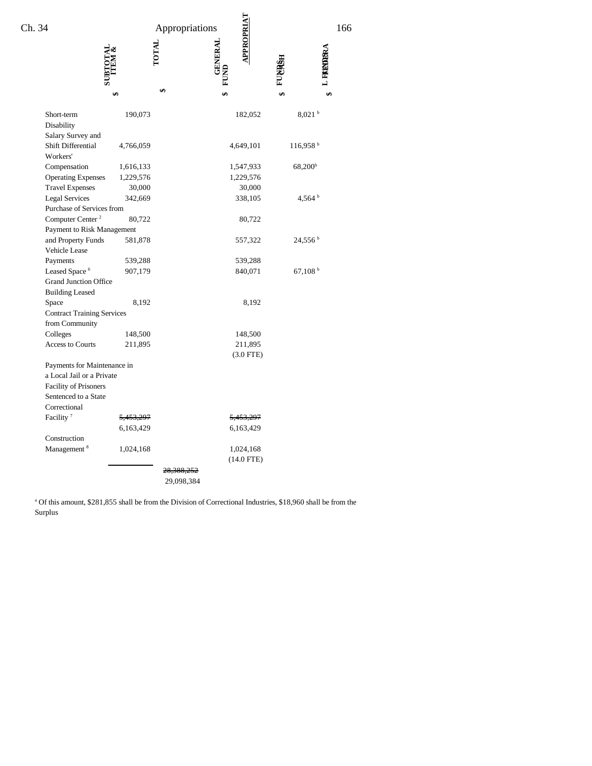| Ch. 34                                                                                                           |                        | Appropriations                      | <b>APROPRIAT</b>                     | 166                   |  |
|------------------------------------------------------------------------------------------------------------------|------------------------|-------------------------------------|--------------------------------------|-----------------------|--|
|                                                                                                                  |                        | <b>LOTAL</b>                        | <b>GENERAL</b>                       | L FREMDERA            |  |
|                                                                                                                  | ₩                      | ć۵                                  |                                      |                       |  |
| Short-term<br>Disability<br>Salary Survey and                                                                    | 190,073                |                                     | 182,052                              | $8,021$ b             |  |
| Shift Differential<br>Workers'                                                                                   | 4,766,059              |                                     | 4,649,101                            | 116,958 <sup>b</sup>  |  |
| Compensation<br><b>Operating Expenses</b>                                                                        | 1,616,133<br>1,229,576 |                                     | 1,547,933<br>1,229,576               | 68,200 <sup>b</sup>   |  |
| <b>Travel Expenses</b><br><b>Legal Services</b>                                                                  | 30,000<br>342,669      |                                     | 30,000<br>338,105                    | 4,564 $^{\rm b}$      |  |
| Purchase of Services from<br>Computer Center <sup>2</sup><br>Payment to Risk Management                          | 80,722                 |                                     | 80,722                               |                       |  |
| and Property Funds<br>Vehicle Lease                                                                              | 581,878                |                                     | 557,322                              | $24,556^{\mathrm{b}}$ |  |
| Payments<br>Leased Space <sup>6</sup><br><b>Grand Junction Office</b>                                            | 539,288<br>907,179     |                                     | 539,288<br>840,071                   | 67,108 <sup>b</sup>   |  |
| <b>Building Leased</b><br>Space                                                                                  | 8,192                  |                                     | 8,192                                |                       |  |
| <b>Contract Training Services</b><br>from Community                                                              |                        |                                     |                                      |                       |  |
| Colleges<br><b>Access to Courts</b>                                                                              | 148,500<br>211,895     |                                     | 148,500<br>211,895<br>$(3.0$ FTE $)$ |                       |  |
| Payments for Maintenance in<br>a Local Jail or a Private<br><b>Facility of Prisoners</b><br>Sentenced to a State |                        |                                     |                                      |                       |  |
| Correctional<br>Facility <sup>7</sup>                                                                            | <del>5.453.297</del>   |                                     | <del>5.453.297</del>                 |                       |  |
|                                                                                                                  | 6,163,429              |                                     | 6,163,429                            |                       |  |
| Construction<br>Management <sup>8</sup>                                                                          | 1,024,168              |                                     | 1,024,168<br>$(14.0$ FTE)            |                       |  |
|                                                                                                                  |                        | <del>28,388,252</del><br>29,098,384 |                                      |                       |  |

a Of this amount, \$281,855 shall be from the Division of Correctional Industries, \$18,960 shall be from the Surplus